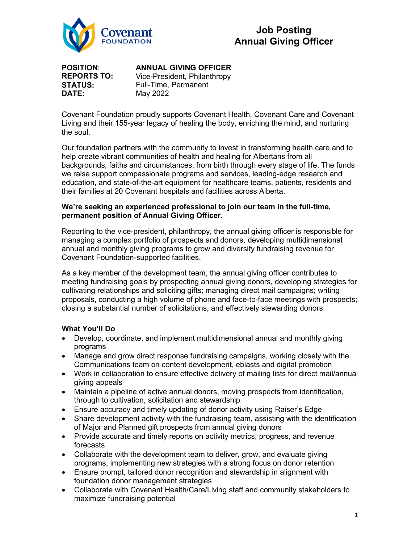

**POSITION**: **REPORTS TO: STATUS: DATE:**

## **ANNUAL GIVING OFFICER**

Vice-President, Philanthropy Full-Time, Permanent May 2022

Covenant Foundation proudly supports Covenant Health, Covenant Care and Covenant Living and their 155-year legacy of healing the body, enriching the mind, and nurturing the soul.

Our foundation partners with the community to invest in transforming health care and to help create vibrant communities of health and healing for Albertans from all backgrounds, faiths and circumstances, from birth through every stage of life. The funds we raise support compassionate programs and services, leading-edge research and education, and state-of-the-art equipment for healthcare teams, patients, residents and their families at 20 Covenant hospitals and facilities across Alberta.

#### **We're seeking an experienced professional to join our team in the full-time, permanent position of Annual Giving Officer.**

Reporting to the vice-president, philanthropy, the annual giving officer is responsible for managing a complex portfolio of prospects and donors, developing multidimensional annual and monthly giving programs to grow and diversify fundraising revenue for Covenant Foundation-supported facilities.

As a key member of the development team, the annual giving officer contributes to meeting fundraising goals by prospecting annual giving donors, developing strategies for cultivating relationships and soliciting gifts; managing direct mail campaigns; writing proposals, conducting a high volume of phone and face-to-face meetings with prospects; closing a substantial number of solicitations, and effectively stewarding donors.

## **What You'll Do**

- Develop, coordinate, and implement multidimensional annual and monthly giving programs
- Manage and grow direct response fundraising campaigns, working closely with the Communications team on content development, eblasts and digital promotion
- Work in collaboration to ensure effective delivery of mailing lists for direct mail/annual giving appeals
- Maintain a pipeline of active annual donors, moving prospects from identification, through to cultivation, solicitation and stewardship
- Ensure accuracy and timely updating of donor activity using Raiser's Edge
- Share development activity with the fundraising team, assisting with the identification of Major and Planned gift prospects from annual giving donors
- Provide accurate and timely reports on activity metrics, progress, and revenue forecasts
- Collaborate with the development team to deliver, grow, and evaluate giving programs, implementing new strategies with a strong focus on donor retention
- Ensure prompt, tailored donor recognition and stewardship in alignment with foundation donor management strategies
- Collaborate with Covenant Health/Care/Living staff and community stakeholders to maximize fundraising potential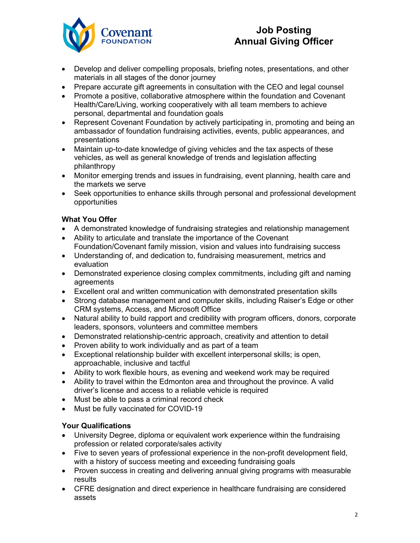

# **Job Posting Annual Giving Officer**

- Develop and deliver compelling proposals, briefing notes, presentations, and other materials in all stages of the donor journey
- Prepare accurate gift agreements in consultation with the CEO and legal counsel
- Promote a positive, collaborative atmosphere within the foundation and Covenant Health/Care/Living, working cooperatively with all team members to achieve personal, departmental and foundation goals
- Represent Covenant Foundation by actively participating in, promoting and being an ambassador of foundation fundraising activities, events, public appearances, and presentations
- Maintain up-to-date knowledge of giving vehicles and the tax aspects of these vehicles, as well as general knowledge of trends and legislation affecting philanthropy
- Monitor emerging trends and issues in fundraising, event planning, health care and the markets we serve
- Seek opportunities to enhance skills through personal and professional development opportunities

## **What You Offer**

- A demonstrated knowledge of fundraising strategies and relationship management
- Ability to articulate and translate the importance of the Covenant Foundation/Covenant family mission, vision and values into fundraising success
- Understanding of, and dedication to, fundraising measurement, metrics and evaluation
- Demonstrated experience closing complex commitments, including gift and naming agreements
- Excellent oral and written communication with demonstrated presentation skills
- Strong database management and computer skills, including Raiser's Edge or other CRM systems, Access, and Microsoft Office
- Natural ability to build rapport and credibility with program officers, donors, corporate leaders, sponsors, volunteers and committee members
- Demonstrated relationship-centric approach, creativity and attention to detail
- Proven ability to work individually and as part of a team
- Exceptional relationship builder with excellent interpersonal skills; is open, approachable, inclusive and tactful
- Ability to work flexible hours, as evening and weekend work may be required
- Ability to travel within the Edmonton area and throughout the province. A valid driver's license and access to a reliable vehicle is required
- Must be able to pass a criminal record check
- Must be fully vaccinated for COVID-19

## **Your Qualifications**

- University Degree, diploma or equivalent work experience within the fundraising profession or related corporate/sales activity
- Five to seven years of professional experience in the non-profit development field, with a history of success meeting and exceeding fundraising goals
- Proven success in creating and delivering annual giving programs with measurable results
- CFRE designation and direct experience in healthcare fundraising are considered assets